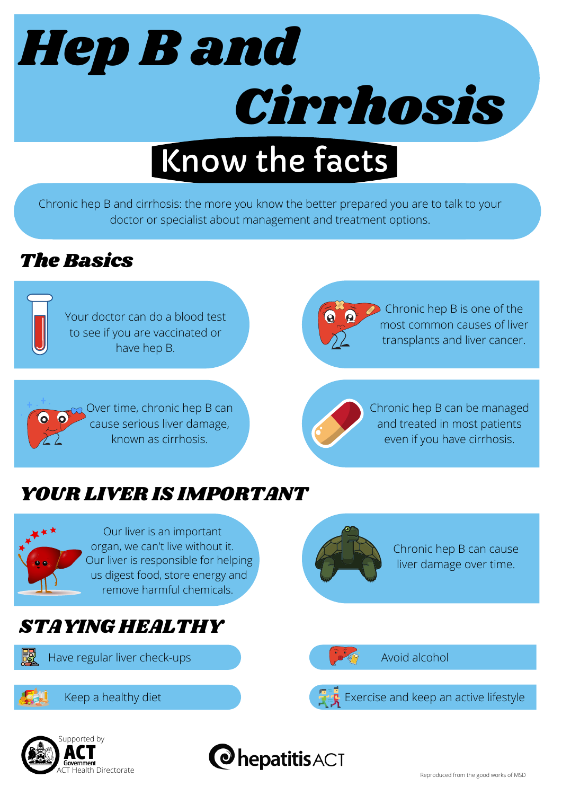

Chronic hep B and cirrhosis: the more you know the better prepared you are to talk to your doctor or specialist about management and treatment options.

## The Basics



Your doctor can do a blood test to see if you are vaccinated or have hep B.



Chronic hep B is one of the most common causes of liver transplants and liver cancer.





Chronic hep B can be managed and treated in most patients even if you have cirrhosis.

## YOUR LIVER IS IMPORTANT



Our liver is an important organ, we can't live without it. Our liver is responsible for helping us digest food, store energy and remove harmful chemicals.

## STAYING HEALTHY

Have regular liver check-ups







Chronic hep B can cause liver damage over time.



Avoid alcohol

Exercise and keep an active lifestyle